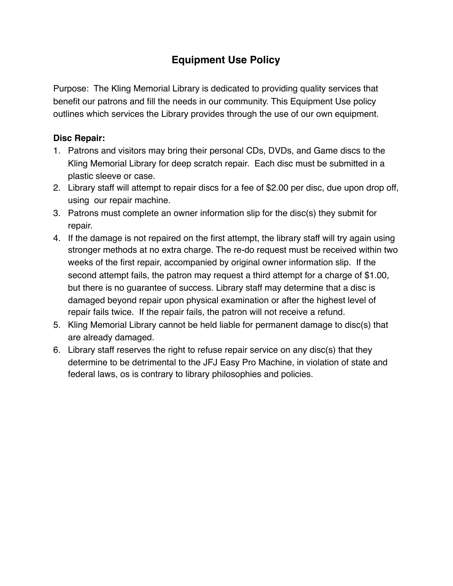# **Equipment Use Policy**

Purpose: The Kling Memorial Library is dedicated to providing quality services that benefit our patrons and fill the needs in our community. This Equipment Use policy outlines which services the Library provides through the use of our own equipment.

### **Disc Repair:**

- 1. Patrons and visitors may bring their personal CDs, DVDs, and Game discs to the Kling Memorial Library for deep scratch repair. Each disc must be submitted in a plastic sleeve or case.
- 2. Library staff will attempt to repair discs for a fee of \$2.00 per disc, due upon drop off, using our repair machine.
- 3. Patrons must complete an owner information slip for the disc(s) they submit for repair.
- 4. If the damage is not repaired on the first attempt, the library staff will try again using stronger methods at no extra charge. The re-do request must be received within two weeks of the first repair, accompanied by original owner information slip. If the second attempt fails, the patron may request a third attempt for a charge of \$1.00, but there is no guarantee of success. Library staff may determine that a disc is damaged beyond repair upon physical examination or after the highest level of repair fails twice. If the repair fails, the patron will not receive a refund.
- 5. Kling Memorial Library cannot be held liable for permanent damage to disc(s) that are already damaged.
- 6. Library staff reserves the right to refuse repair service on any disc(s) that they determine to be detrimental to the JFJ Easy Pro Machine, in violation of state and federal laws, os is contrary to library philosophies and policies.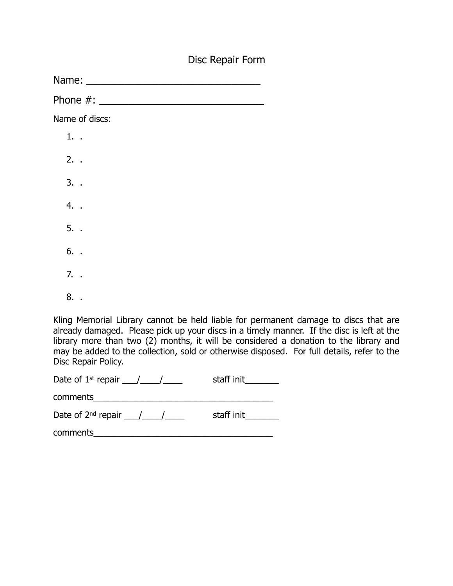## Disc Repair Form

Name: \_\_\_\_\_\_\_\_\_\_\_\_\_\_\_\_\_\_\_\_\_\_\_\_\_\_\_\_\_\_\_\_\_\_\_\_

Phone  $\#$ :

Name of discs:

1. . 2. . 3. . 4. . 5. . 6. . 7. .

8. .

Kling Memorial Library cannot be held liable for permanent damage to discs that are already damaged. Please pick up your discs in a timely manner. If the disc is left at the library more than two (2) months, it will be considered a donation to the library and may be added to the collection, sold or otherwise disposed. For full details, refer to the Disc Repair Policy.

Date of  $1^{st}$  repair  $\frac{1}{s}$  repair  $\frac{1}{s}$  staff init

comments

Date of  $2^{nd}$  repair  $\frac{1}{2}$   $\frac{1}{2}$  staff init

comments\_\_\_\_\_\_\_\_\_\_\_\_\_\_\_\_\_\_\_\_\_\_\_\_\_\_\_\_\_\_\_\_\_\_\_\_\_